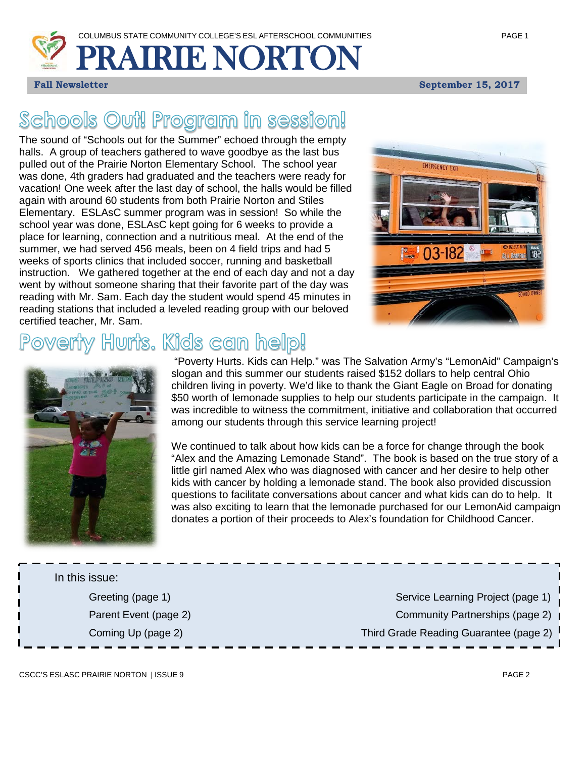

# PRAIRIE NORTON

**Fall Newsletter** September 15, 2017

# **Schools Out! Program in session!**

The sound of "Schools out for the Summer" echoed through the empty halls. A group of teachers gathered to wave goodbye as the last bus pulled out of the Prairie Norton Elementary School. The school year was done, 4th graders had graduated and the teachers were ready for vacation! One week after the last day of school, the halls would be filled again with around 60 students from both Prairie Norton and Stiles Elementary. ESLAsC summer program was in session! So while the school year was done, ESLAsC kept going for 6 weeks to provide a place for learning, connection and a nutritious meal. At the end of the summer, we had served 456 meals, been on 4 field trips and had 5 weeks of sports clinics that included soccer, running and basketball instruction. We gathered together at the end of each day and not a day went by without someone sharing that their favorite part of the day was reading with Mr. Sam. Each day the student would spend 45 minutes in reading stations that included a leveled reading group with our beloved certified teacher, Mr. Sam.



### urts. Kids can help!



"Poverty Hurts. Kids can Help." was The Salvation Army's "LemonAid" Campaign's slogan and this summer our students raised \$152 dollars to help central Ohio children living in poverty. We'd like to thank the Giant Eagle on Broad for donating \$50 worth of lemonade supplies to help our students participate in the campaign. It was incredible to witness the commitment, initiative and collaboration that occurred among our students through this service learning project!

We continued to talk about how kids can be a force for change through the book "Alex and the Amazing Lemonade Stand". The book is based on the true story of a little girl named Alex who was diagnosed with cancer and her desire to help other kids with cancer by holding a lemonade stand. The book also provided discussion questions to facilitate conversations about cancer and what kids can do to help. It was also exciting to learn that the lemonade purchased for our LemonAid campaign donates a portion of their proceeds to Alex's foundation for Childhood Cancer.

In this issue:

Greeting (page 1) Service Learning Project (page 1) Parent Event (page 2) **Parent Event (page 2)** Community Partnerships (page 2)

Coming Up (page 2) Third Grade Reading Guarantee (page 2)